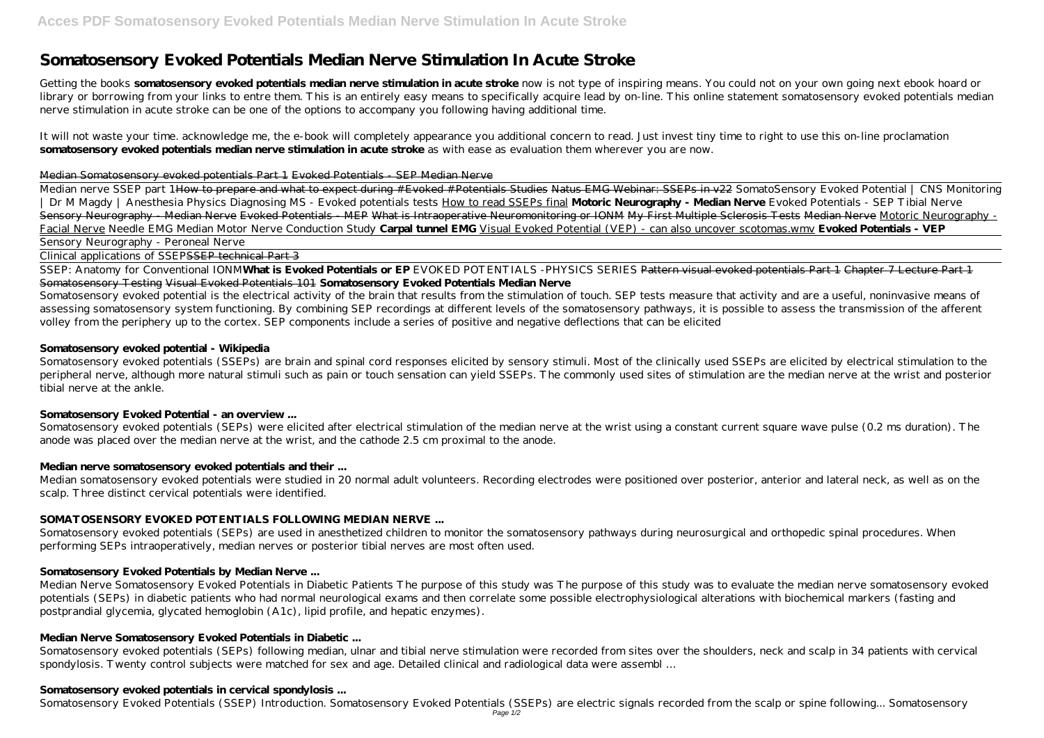# **Somatosensory Evoked Potentials Median Nerve Stimulation In Acute Stroke**

Getting the books **somatosensory evoked potentials median nerve stimulation in acute stroke** now is not type of inspiring means. You could not on your own going next ebook hoard or library or borrowing from your links to entre them. This is an entirely easy means to specifically acquire lead by on-line. This online statement somatosensory evoked potentials median nerve stimulation in acute stroke can be one of the options to accompany you following having additional time.

It will not waste your time. acknowledge me, the e-book will completely appearance you additional concern to read. Just invest tiny time to right to use this on-line proclamation **somatosensory evoked potentials median nerve stimulation in acute stroke** as with ease as evaluation them wherever you are now.

#### Median Somatosensory evoked potentials Part 1 Evoked Potentials - SEP Median Nerve

Somatosensory evoked potential is the electrical activity of the brain that results from the stimulation of touch. SEP tests measure that activity and are a useful, noninvasive means of assessing somatosensory system functioning. By combining SEP recordings at different levels of the somatosensory pathways, it is possible to assess the transmission of the afferent volley from the periphery up to the cortex. SEP components include a series of positive and negative deflections that can be elicited

Median nerve SSEP part 1How to prepare and what to expect during #Evoked #Potentials Studies Natus EMG Webinar: SSEPs in v22 *SomatoSensory Evoked Potential | CNS Monitoring | Dr M Magdy | Anesthesia Physics* Diagnosing MS - Evoked potentials tests How to read SSEPs final **Motoric Neurography - Median Nerve** *Evoked Potentials - SEP Tibial Nerve* Sensory Neurography - Median Nerve Evoked Potentials - MEP What is Intraoperative Neuromonitoring or IONM My First Multiple Sclerosis Tests Median Nerve Motoric Neurography -Facial Nerve *Needle EMG Median Motor Nerve Conduction Study* **Carpal tunnel EMG** Visual Evoked Potential (VEP) - can also uncover scotomas.wmv **Evoked Potentials - VEP** Sensory Neurography - Peroneal Nerve

Somatosensory evoked potentials (SSEPs) are brain and spinal cord responses elicited by sensory stimuli. Most of the clinically used SSEPs are elicited by electrical stimulation to the peripheral nerve, although more natural stimuli such as pain or touch sensation can yield SSEPs. The commonly used sites of stimulation are the median nerve at the wrist and posterior tibial nerve at the ankle.

Somatosensory evoked potentials (SEPs) were elicited after electrical stimulation of the median nerve at the wrist using a constant current square wave pulse (0.2 ms duration). The anode was placed over the median nerve at the wrist, and the cathode 2.5 cm proximal to the anode.

Clinical applications of SSEPSSEP technical Part 3

SSEP: Anatomy for Conventional IONM**What is Evoked Potentials or EP** *EVOKED POTENTIALS -PHYSICS SERIES* Pattern visual evoked potentials Part 1 Chapter 7 Lecture Part 1 Somatosensory Testing Visual Evoked Potentials 101 **Somatosensory Evoked Potentials Median Nerve**

#### **Somatosensory evoked potential - Wikipedia**

# **Somatosensory Evoked Potential - an overview ...**

# **Median nerve somatosensory evoked potentials and their ...**

Median somatosensory evoked potentials were studied in 20 normal adult volunteers. Recording electrodes were positioned over posterior, anterior and lateral neck, as well as on the scalp. Three distinct cervical potentials were identified.

# **SOMATOSENSORY EVOKED POTENTIALS FOLLOWING MEDIAN NERVE ...**

Somatosensory evoked potentials (SEPs) are used in anesthetized children to monitor the somatosensory pathways during neurosurgical and orthopedic spinal procedures. When performing SEPs intraoperatively, median nerves or posterior tibial nerves are most often used.

# **Somatosensory Evoked Potentials by Median Nerve ...**

Median Nerve Somatosensory Evoked Potentials in Diabetic Patients The purpose of this study was The purpose of this study was to evaluate the median nerve somatosensory evoked potentials (SEPs) in diabetic patients who had normal neurological exams and then correlate some possible electrophysiological alterations with biochemical markers (fasting and postprandial glycemia, glycated hemoglobin (A1c), lipid profile, and hepatic enzymes).

# **Median Nerve Somatosensory Evoked Potentials in Diabetic ...**

Somatosensory evoked potentials (SEPs) following median, ulnar and tibial nerve stimulation were recorded from sites over the shoulders, neck and scalp in 34 patients with cervical spondylosis. Twenty control subjects were matched for sex and age. Detailed clinical and radiological data were assembl …

# **Somatosensory evoked potentials in cervical spondylosis ...**

Somatosensory Evoked Potentials (SSEP) Introduction. Somatosensory Evoked Potentials (SSEPs) are electric signals recorded from the scalp or spine following... Somatosensory Page 1/2